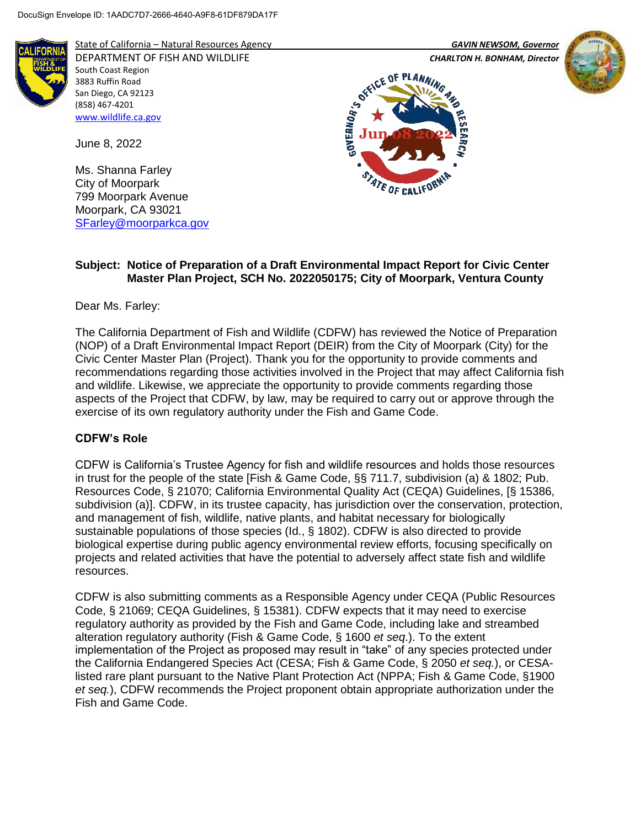

State of California – Natural Resources Agency *GAVIN NEWSOM, Governor*

DEPARTMENT OF FISH AND WILDLIFE *CHARLTON H. BONHAM, Director*  South Coast Region 3883 Ruffin Road San Diego, CA 92123 (858) 467-4201 [www.wildlife.ca.gov](http://www.wildlife.ca.gov/)

June 8, 2022

Ms. Shanna Farley City of Moorpark 799 Moorpark Avenue Moorpark, CA 93021 [SFarley@moorparkca.gov](mailto:SFarley@moorparkca.gov)







## **Subject: Notice of Preparation of a Draft Environmental Impact Report for Civic Center Master Plan Project, SCH No. 2022050175; City of Moorpark, Ventura County**

Dear Ms. Farley:

The California Department of Fish and Wildlife (CDFW) has reviewed the Notice of Preparation (NOP) of a Draft Environmental Impact Report (DEIR) from the City of Moorpark (City) for the Civic Center Master Plan (Project). Thank you for the opportunity to provide comments and recommendations regarding those activities involved in the Project that may affect California fish and wildlife. Likewise, we appreciate the opportunity to provide comments regarding those aspects of the Project that CDFW, by law, may be required to carry out or approve through the exercise of its own regulatory authority under the Fish and Game Code.

### **CDFW's Role**

CDFW is California's Trustee Agency for fish and wildlife resources and holds those resources in trust for the people of the state [Fish & Game Code, §§ 711.7, subdivision (a) & 1802; Pub. Resources Code, § 21070; California Environmental Quality Act (CEQA) Guidelines, [§ 15386, subdivision (a)]. CDFW, in its trustee capacity, has jurisdiction over the conservation, protection, and management of fish, wildlife, native plants, and habitat necessary for biologically sustainable populations of those species (Id., § 1802). CDFW is also directed to provide biological expertise during public agency environmental review efforts, focusing specifically on projects and related activities that have the potential to adversely affect state fish and wildlife resources.

CDFW is also submitting comments as a Responsible Agency under CEQA (Public Resources Code, § 21069; CEQA Guidelines, § 15381). CDFW expects that it may need to exercise regulatory authority as provided by the Fish and Game Code, including lake and streambed alteration regulatory authority (Fish & Game Code, § 1600 *et seq*.). To the extent implementation of the Project as proposed may result in "take" of any species protected under the California Endangered Species Act (CESA; Fish & Game Code, § 2050 *et seq.*), or CESAlisted rare plant pursuant to the Native Plant Protection Act (NPPA; Fish & Game Code, §1900 *et seq.*), CDFW recommends the Project proponent obtain appropriate authorization under the Fish and Game Code.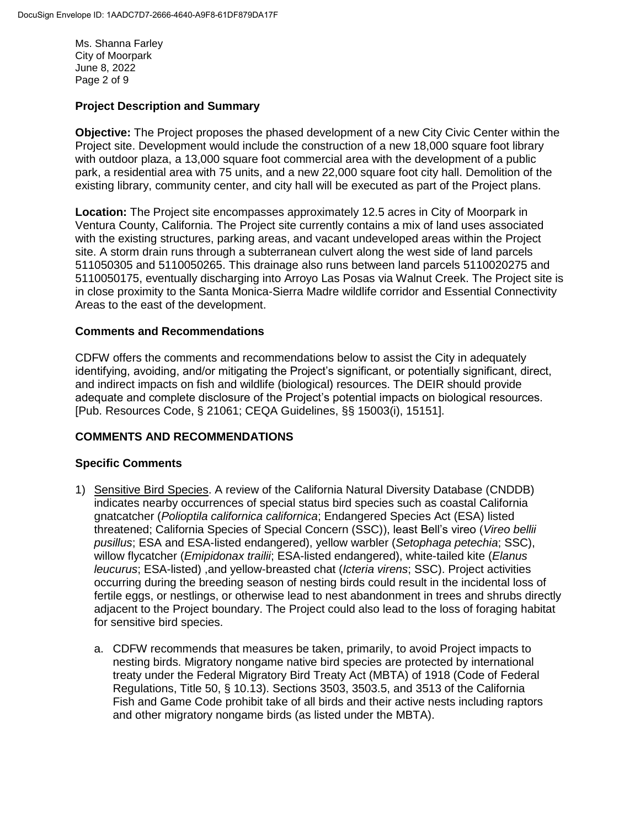Ms. Shanna Farley City of Moorpark June 8, 2022 Page 2 of 9

### **Project Description and Summary**

**Objective:** The Project proposes the phased development of a new City Civic Center within the Project site. Development would include the construction of a new 18,000 square foot library with outdoor plaza, a 13,000 square foot commercial area with the development of a public park, a residential area with 75 units, and a new 22,000 square foot city hall. Demolition of the existing library, community center, and city hall will be executed as part of the Project plans.

**Location:** The Project site encompasses approximately 12.5 acres in City of Moorpark in Ventura County, California. The Project site currently contains a mix of land uses associated with the existing structures, parking areas, and vacant undeveloped areas within the Project site. A storm drain runs through a subterranean culvert along the west side of land parcels 511050305 and 5110050265. This drainage also runs between land parcels 5110020275 and 5110050175, eventually discharging into Arroyo Las Posas via Walnut Creek. The Project site is in close proximity to the Santa Monica-Sierra Madre wildlife corridor and Essential Connectivity Areas to the east of the development.

### **Comments and Recommendations**

CDFW offers the comments and recommendations below to assist the City in adequately identifying, avoiding, and/or mitigating the Project's significant, or potentially significant, direct, and indirect impacts on fish and wildlife (biological) resources. The DEIR should provide adequate and complete disclosure of the Project's potential impacts on biological resources. [Pub. Resources Code, § 21061; CEQA Guidelines, §§ 15003(i), 15151].

### **COMMENTS AND RECOMMENDATIONS**

### **Specific Comments**

- 1) Sensitive Bird Species. A review of the California Natural Diversity Database (CNDDB) indicates nearby occurrences of special status bird species such as coastal California gnatcatcher (*Polioptila californica californica*; Endangered Species Act (ESA) listed threatened; California Species of Special Concern (SSC)), least Bell's vireo (*Vireo bellii pusillus*; ESA and ESA-listed endangered), yellow warbler (*Setophaga petechia*; SSC), willow flycatcher (*Emipidonax trailii*; ESA-listed endangered), white-tailed kite (*Elanus leucurus*; ESA-listed) ,and yellow-breasted chat (*Icteria virens*; SSC). Project activities occurring during the breeding season of nesting birds could result in the incidental loss of fertile eggs, or nestlings, or otherwise lead to nest abandonment in trees and shrubs directly adjacent to the Project boundary. The Project could also lead to the loss of foraging habitat for sensitive bird species.
	- a. CDFW recommends that measures be taken, primarily, to avoid Project impacts to nesting birds. Migratory nongame native bird species are protected by international treaty under the Federal Migratory Bird Treaty Act (MBTA) of 1918 (Code of Federal Regulations, Title 50, § 10.13). Sections 3503, 3503.5, and 3513 of the California Fish and Game Code prohibit take of all birds and their active nests including raptors and other migratory nongame birds (as listed under the MBTA).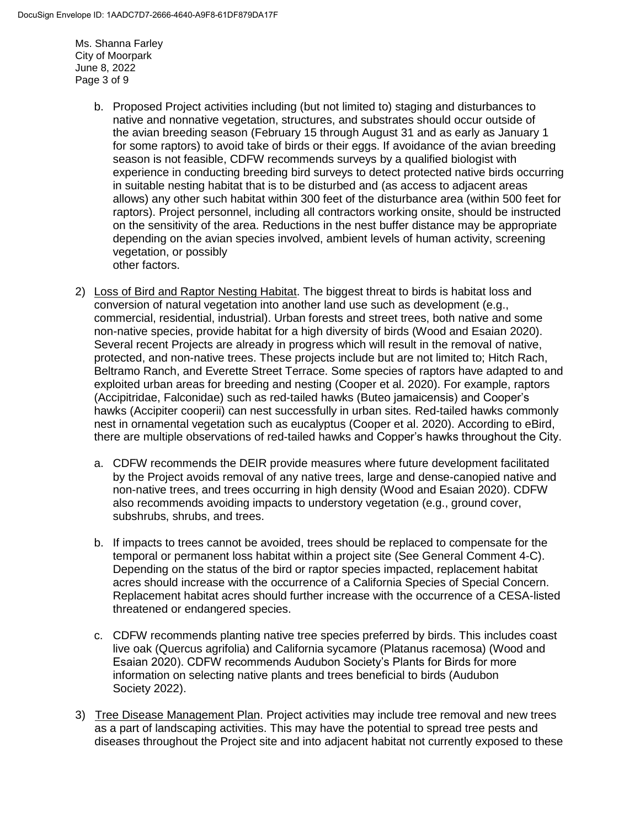Ms. Shanna Farley City of Moorpark June 8, 2022 Page 3 of 9

- b. Proposed Project activities including (but not limited to) staging and disturbances to native and nonnative vegetation, structures, and substrates should occur outside of the avian breeding season (February 15 through August 31 and as early as January 1 for some raptors) to avoid take of birds or their eggs. If avoidance of the avian breeding season is not feasible, CDFW recommends surveys by a qualified biologist with experience in conducting breeding bird surveys to detect protected native birds occurring in suitable nesting habitat that is to be disturbed and (as access to adjacent areas allows) any other such habitat within 300 feet of the disturbance area (within 500 feet for raptors). Project personnel, including all contractors working onsite, should be instructed on the sensitivity of the area. Reductions in the nest buffer distance may be appropriate depending on the avian species involved, ambient levels of human activity, screening vegetation, or possibly other factors.
- 2) Loss of Bird and Raptor Nesting Habitat. The biggest threat to birds is habitat loss and conversion of natural vegetation into another land use such as development (e.g., commercial, residential, industrial). Urban forests and street trees, both native and some non-native species, provide habitat for a high diversity of birds (Wood and Esaian 2020). Several recent Projects are already in progress which will result in the removal of native, protected, and non-native trees. These projects include but are not limited to; Hitch Rach, Beltramo Ranch, and Everette Street Terrace. Some species of raptors have adapted to and exploited urban areas for breeding and nesting (Cooper et al. 2020). For example, raptors (Accipitridae, Falconidae) such as red-tailed hawks (Buteo jamaicensis) and Cooper's hawks (Accipiter cooperii) can nest successfully in urban sites. Red-tailed hawks commonly nest in ornamental vegetation such as eucalyptus (Cooper et al. 2020). According to eBird, there are multiple observations of red-tailed hawks and Copper's hawks throughout the City.
	- a. CDFW recommends the DEIR provide measures where future development facilitated by the Project avoids removal of any native trees, large and dense-canopied native and non-native trees, and trees occurring in high density (Wood and Esaian 2020). CDFW also recommends avoiding impacts to understory vegetation (e.g., ground cover, subshrubs, shrubs, and trees.
	- b. If impacts to trees cannot be avoided, trees should be replaced to compensate for the temporal or permanent loss habitat within a project site (See General Comment 4-C). Depending on the status of the bird or raptor species impacted, replacement habitat acres should increase with the occurrence of a California Species of Special Concern. Replacement habitat acres should further increase with the occurrence of a CESA-listed threatened or endangered species.
	- c. CDFW recommends planting native tree species preferred by birds. This includes coast live oak (Quercus agrifolia) and California sycamore (Platanus racemosa) (Wood and Esaian 2020). CDFW recommends Audubon Society's Plants for Birds for more information on selecting native plants and trees beneficial to birds (Audubon Society 2022).
- 3) Tree Disease Management Plan. Project activities may include tree removal and new trees as a part of landscaping activities. This may have the potential to spread tree pests and diseases throughout the Project site and into adjacent habitat not currently exposed to these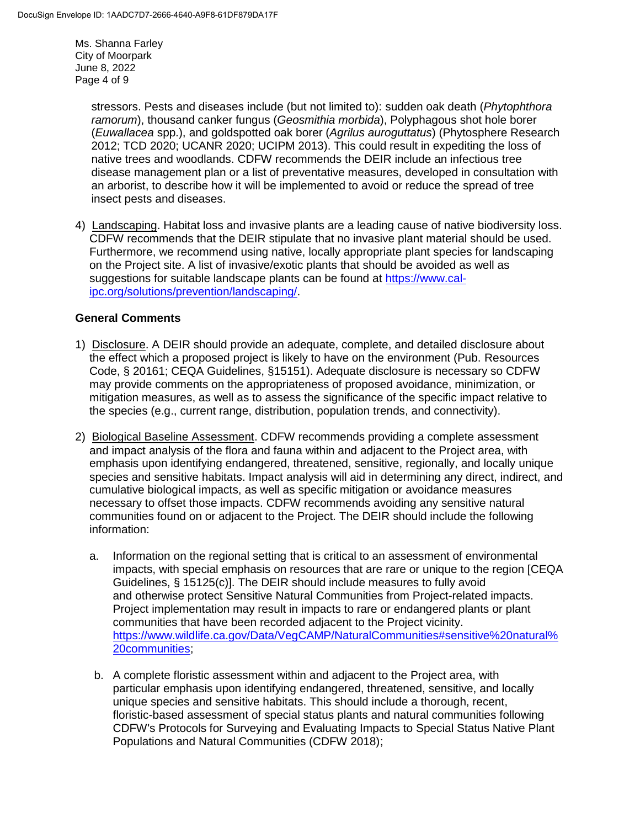Ms. Shanna Farley City of Moorpark June 8, 2022 Page 4 of 9

> stressors. Pests and diseases include (but not limited to): sudden oak death (*Phytophthora ramorum*), thousand canker fungus (*Geosmithia morbida*), Polyphagous shot hole borer (*Euwallacea* spp.), and goldspotted oak borer (*Agrilus auroguttatus*) (Phytosphere Research 2012; TCD 2020; UCANR 2020; UCIPM 2013). This could result in expediting the loss of native trees and woodlands. CDFW recommends the DEIR include an infectious tree disease management plan or a list of preventative measures, developed in consultation with an arborist, to describe how it will be implemented to avoid or reduce the spread of tree insect pests and diseases.

4) Landscaping. Habitat loss and invasive plants are a leading cause of native biodiversity loss. CDFW recommends that the DEIR stipulate that no invasive plant material should be used. Furthermore, we recommend using native, locally appropriate plant species for landscaping on the Project site. A list of invasive/exotic plants that should be avoided as well as suggestions for suitable landscape plants can be found at [https://www.cal](https://www.cal-ipc.org/solutions/prevention/landscaping/)[ipc.org/solutions/prevention/landscaping/.](https://www.cal-ipc.org/solutions/prevention/landscaping/)

### **General Comments**

- 1) Disclosure. A DEIR should provide an adequate, complete, and detailed disclosure about the effect which a proposed project is likely to have on the environment (Pub. Resources Code, § 20161; CEQA Guidelines, §15151). Adequate disclosure is necessary so CDFW may provide comments on the appropriateness of proposed avoidance, minimization, or mitigation measures, as well as to assess the significance of the specific impact relative to the species (e.g., current range, distribution, population trends, and connectivity).
- 2) Biological Baseline Assessment. CDFW recommends providing a complete assessment and impact analysis of the flora and fauna within and adjacent to the Project area, with emphasis upon identifying endangered, threatened, sensitive, regionally, and locally unique species and sensitive habitats. Impact analysis will aid in determining any direct, indirect, and cumulative biological impacts, as well as specific mitigation or avoidance measures necessary to offset those impacts. CDFW recommends avoiding any sensitive natural communities found on or adjacent to the Project. The DEIR should include the following information:
	- a. Information on the regional setting that is critical to an assessment of environmental impacts, with special emphasis on resources that are rare or unique to the region [CEQA Guidelines, § 15125(c)]. The DEIR should include measures to fully avoid and otherwise protect Sensitive Natural Communities from Project-related impacts. Project implementation may result in impacts to rare or endangered plants or plant communities that have been recorded adjacent to the Project vicinity. [https://www.wildlife.ca.gov/Data/VegCAMP/NaturalCommunities#sensitive%20natural%](https://www.wildlife.ca.gov/Data/VegCAMP/NaturalCommunities#sensitive%20natural%20communities) [20communities;](https://www.wildlife.ca.gov/Data/VegCAMP/NaturalCommunities#sensitive%20natural%20communities)
	- b. A complete floristic assessment within and adjacent to the Project area, with particular emphasis upon identifying endangered, threatened, sensitive, and locally unique species and sensitive habitats. This should include a thorough, recent, floristic-based assessment of special status plants and natural communities following CDFW's Protocols for Surveying and Evaluating Impacts to Special Status Native Plant Populations and Natural Communities (CDFW 2018);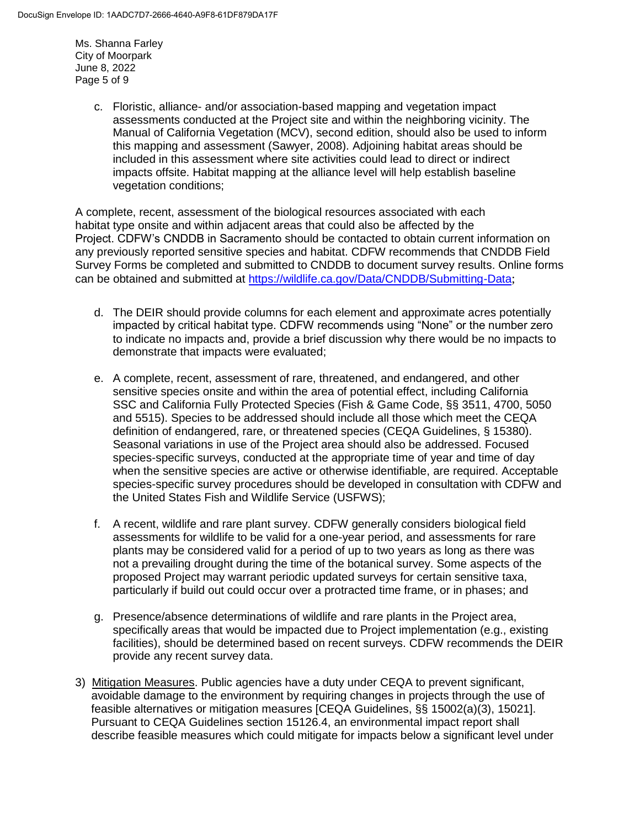Ms. Shanna Farley City of Moorpark June 8, 2022 Page 5 of 9

> c. Floristic, alliance- and/or association-based mapping and vegetation impact assessments conducted at the Project site and within the neighboring vicinity. The Manual of California Vegetation (MCV), second edition, should also be used to inform this mapping and assessment (Sawyer, 2008). Adjoining habitat areas should be included in this assessment where site activities could lead to direct or indirect impacts offsite. Habitat mapping at the alliance level will help establish baseline vegetation conditions;

A complete, recent, assessment of the biological resources associated with each habitat type onsite and within adjacent areas that could also be affected by the Project. CDFW's CNDDB in Sacramento should be contacted to obtain current information on any previously reported sensitive species and habitat. CDFW recommends that CNDDB Field Survey Forms be completed and submitted to CNDDB to document survey results. Online forms can be obtained and submitted at <https://wildlife.ca.gov/Data/CNDDB/Submitting-Data>;

- d. The DEIR should provide columns for each element and approximate acres potentially impacted by critical habitat type. CDFW recommends using "None" or the number zero to indicate no impacts and, provide a brief discussion why there would be no impacts to demonstrate that impacts were evaluated;
- e. A complete, recent, assessment of rare, threatened, and endangered, and other sensitive species onsite and within the area of potential effect, including California SSC and California Fully Protected Species (Fish & Game Code, §§ 3511, 4700, 5050 and 5515). Species to be addressed should include all those which meet the CEQA definition of endangered, rare, or threatened species (CEQA Guidelines, § 15380). Seasonal variations in use of the Project area should also be addressed. Focused species-specific surveys, conducted at the appropriate time of year and time of day when the sensitive species are active or otherwise identifiable, are required. Acceptable species-specific survey procedures should be developed in consultation with CDFW and the United States Fish and Wildlife Service (USFWS);
- f. A recent, wildlife and rare plant survey. CDFW generally considers biological field assessments for wildlife to be valid for a one-year period, and assessments for rare plants may be considered valid for a period of up to two years as long as there was not a prevailing drought during the time of the botanical survey. Some aspects of the proposed Project may warrant periodic updated surveys for certain sensitive taxa, particularly if build out could occur over a protracted time frame, or in phases; and
- g. Presence/absence determinations of wildlife and rare plants in the Project area, specifically areas that would be impacted due to Project implementation (e.g., existing facilities), should be determined based on recent surveys. CDFW recommends the DEIR provide any recent survey data.
- 3) Mitigation Measures. Public agencies have a duty under CEQA to prevent significant, avoidable damage to the environment by requiring changes in projects through the use of feasible alternatives or mitigation measures [CEQA Guidelines, §§ 15002(a)(3), 15021]. Pursuant to CEQA Guidelines section 15126.4, an environmental impact report shall describe feasible measures which could mitigate for impacts below a significant level under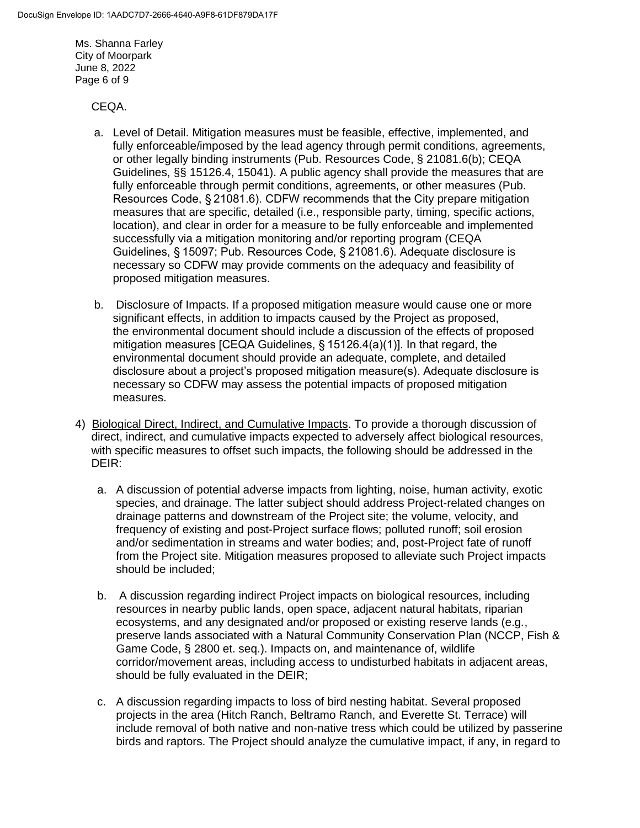Ms. Shanna Farley City of Moorpark June 8, 2022 Page 6 of 9

#### CEQA.

- a. Level of Detail. Mitigation measures must be feasible, effective, implemented, and fully enforceable/imposed by the lead agency through permit conditions, agreements, or other legally binding instruments (Pub. Resources Code, § 21081.6(b); CEQA Guidelines, §§ 15126.4, 15041). A public agency shall provide the measures that are fully enforceable through permit conditions, agreements, or other measures (Pub. Resources Code, § 21081.6). CDFW recommends that the City prepare mitigation measures that are specific, detailed (i.e., responsible party, timing, specific actions, location), and clear in order for a measure to be fully enforceable and implemented successfully via a mitigation monitoring and/or reporting program (CEQA Guidelines, § 15097; Pub. Resources Code, § 21081.6). Adequate disclosure is necessary so CDFW may provide comments on the adequacy and feasibility of proposed mitigation measures.
- b. Disclosure of Impacts. If a proposed mitigation measure would cause one or more significant effects, in addition to impacts caused by the Project as proposed, the environmental document should include a discussion of the effects of proposed mitigation measures [CEQA Guidelines, § 15126.4(a)(1)]. In that regard, the environmental document should provide an adequate, complete, and detailed disclosure about a project's proposed mitigation measure(s). Adequate disclosure is necessary so CDFW may assess the potential impacts of proposed mitigation measures.
- 4) Biological Direct, Indirect, and Cumulative Impacts. To provide a thorough discussion of direct, indirect, and cumulative impacts expected to adversely affect biological resources, with specific measures to offset such impacts, the following should be addressed in the DEIR:
	- a. A discussion of potential adverse impacts from lighting, noise, human activity, exotic species, and drainage. The latter subject should address Project-related changes on drainage patterns and downstream of the Project site; the volume, velocity, and frequency of existing and post-Project surface flows; polluted runoff; soil erosion and/or sedimentation in streams and water bodies; and, post-Project fate of runoff from the Project site. Mitigation measures proposed to alleviate such Project impacts should be included;
	- b. A discussion regarding indirect Project impacts on biological resources, including resources in nearby public lands, open space, adjacent natural habitats, riparian ecosystems, and any designated and/or proposed or existing reserve lands (e.g*.*, preserve lands associated with a Natural Community Conservation Plan (NCCP, Fish & Game Code, § 2800 et. seq.). Impacts on, and maintenance of, wildlife corridor/movement areas, including access to undisturbed habitats in adjacent areas, should be fully evaluated in the DEIR;
	- c. A discussion regarding impacts to loss of bird nesting habitat. Several proposed projects in the area (Hitch Ranch, Beltramo Ranch, and Everette St. Terrace) will include removal of both native and non-native tress which could be utilized by passerine birds and raptors. The Project should analyze the cumulative impact, if any, in regard to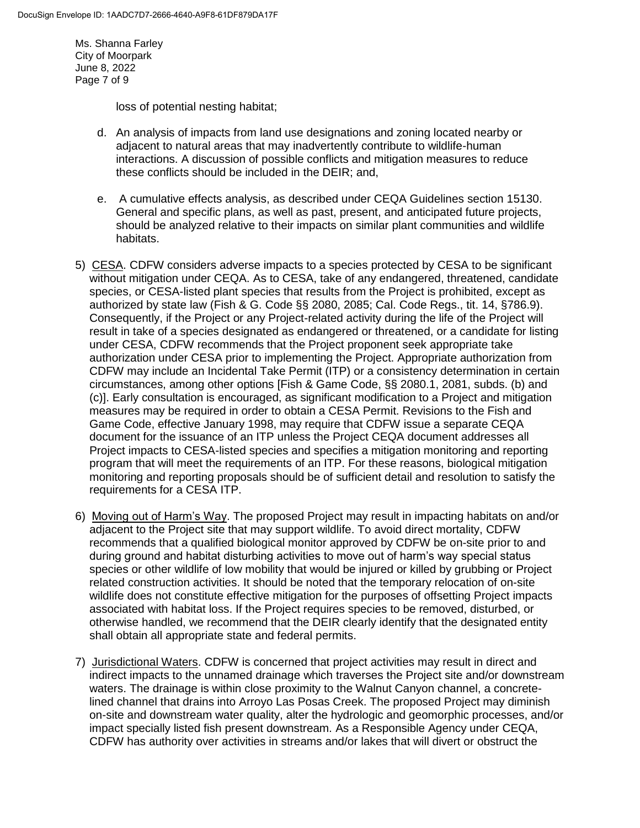Ms. Shanna Farley City of Moorpark June 8, 2022 Page 7 of 9

loss of potential nesting habitat;

- d. An analysis of impacts from land use designations and zoning located nearby or adjacent to natural areas that may inadvertently contribute to wildlife-human interactions. A discussion of possible conflicts and mitigation measures to reduce these conflicts should be included in the DEIR; and,
- e. A cumulative effects analysis, as described under CEQA Guidelines section 15130. General and specific plans, as well as past, present, and anticipated future projects, should be analyzed relative to their impacts on similar plant communities and wildlife habitats.
- 5) CESA. CDFW considers adverse impacts to a species protected by CESA to be significant without mitigation under CEQA. As to CESA, take of any endangered, threatened, candidate species, or CESA-listed plant species that results from the Project is prohibited, except as authorized by state law (Fish & G. Code §§ 2080, 2085; Cal. Code Regs., tit. 14, §786.9). Consequently, if the Project or any Project-related activity during the life of the Project will result in take of a species designated as endangered or threatened, or a candidate for listing under CESA, CDFW recommends that the Project proponent seek appropriate take authorization under CESA prior to implementing the Project. Appropriate authorization from CDFW may include an Incidental Take Permit (ITP) or a consistency determination in certain circumstances, among other options [Fish & Game Code, §§ 2080.1, 2081, subds. (b) and (c)]. Early consultation is encouraged, as significant modification to a Project and mitigation measures may be required in order to obtain a CESA Permit. Revisions to the Fish and Game Code, effective January 1998, may require that CDFW issue a separate CEQA document for the issuance of an ITP unless the Project CEQA document addresses all Project impacts to CESA-listed species and specifies a mitigation monitoring and reporting program that will meet the requirements of an ITP. For these reasons, biological mitigation monitoring and reporting proposals should be of sufficient detail and resolution to satisfy the requirements for a CESA ITP.
- 6) Moving out of Harm's Way. The proposed Project may result in impacting habitats on and/or adjacent to the Project site that may support wildlife. To avoid direct mortality, CDFW recommends that a qualified biological monitor approved by CDFW be on-site prior to and during ground and habitat disturbing activities to move out of harm's way special status species or other wildlife of low mobility that would be injured or killed by grubbing or Project related construction activities. It should be noted that the temporary relocation of on-site wildlife does not constitute effective mitigation for the purposes of offsetting Project impacts associated with habitat loss. If the Project requires species to be removed, disturbed, or otherwise handled, we recommend that the DEIR clearly identify that the designated entity shall obtain all appropriate state and federal permits.
- 7) Jurisdictional Waters. CDFW is concerned that project activities may result in direct and indirect impacts to the unnamed drainage which traverses the Project site and/or downstream waters. The drainage is within close proximity to the Walnut Canyon channel, a concretelined channel that drains into Arroyo Las Posas Creek. The proposed Project may diminish on-site and downstream water quality, alter the hydrologic and geomorphic processes, and/or impact specially listed fish present downstream. As a Responsible Agency under CEQA, CDFW has authority over activities in streams and/or lakes that will divert or obstruct the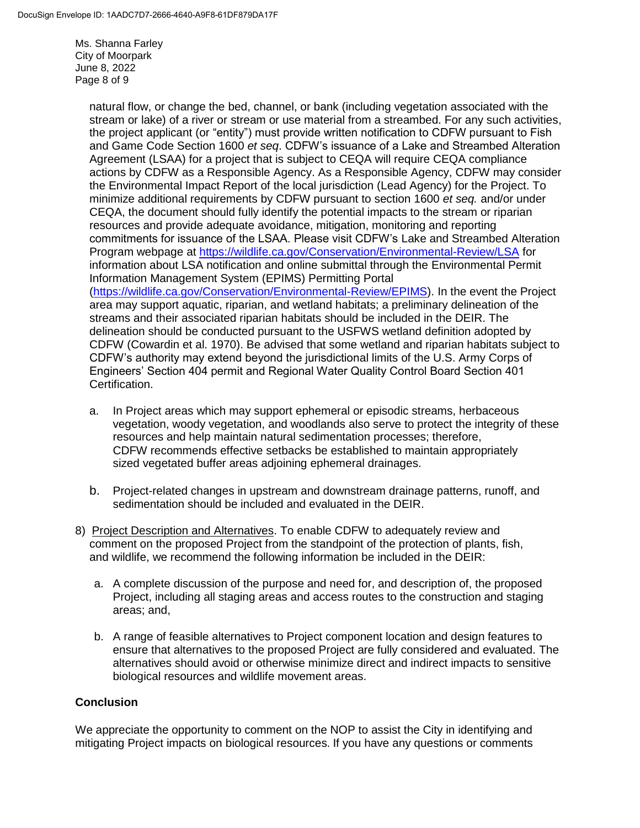Ms. Shanna Farley City of Moorpark June 8, 2022 Page 8 of 9

> natural flow, or change the bed, channel, or bank (including vegetation associated with the stream or lake) of a river or stream or use material from a streambed. For any such activities, the project applicant (or "entity") must provide written notification to CDFW pursuant to Fish and Game Code Section 1600 *et seq*. CDFW's issuance of a Lake and Streambed Alteration Agreement (LSAA) for a project that is subject to CEQA will require CEQA compliance actions by CDFW as a Responsible Agency. As a Responsible Agency, CDFW may consider the Environmental Impact Report of the local jurisdiction (Lead Agency) for the Project. To minimize additional requirements by CDFW pursuant to section 1600 *et seq.* and/or under CEQA, the document should fully identify the potential impacts to the stream or riparian resources and provide adequate avoidance, mitigation, monitoring and reporting commitments for issuance of the LSAA. Please visit CDFW's Lake and Streambed Alteration Program webpage at<https://wildlife.ca.gov/Conservation/Environmental-Review/LSA> for information about LSA notification and online submittal through the Environmental Permit Information Management System (EPIMS) Permitting Portal [\(https://wildlife.ca.gov/Conservation/Environmental-Review/EPIMS\)](https://wildlife.ca.gov/Conservation/Environmental-Review/EPIMS). In the event the Project area may support aquatic, riparian, and wetland habitats; a preliminary delineation of the streams and their associated riparian habitats should be included in the DEIR. The delineation should be conducted pursuant to the USFWS wetland definition adopted by CDFW (Cowardin et al. 1970). Be advised that some wetland and riparian habitats subject to CDFW's authority may extend beyond the jurisdictional limits of the U.S. Army Corps of Engineers' Section 404 permit and Regional Water Quality Control Board Section 401 Certification.

- a. In Project areas which may support ephemeral or episodic streams, herbaceous vegetation, woody vegetation, and woodlands also serve to protect the integrity of these resources and help maintain natural sedimentation processes; therefore, CDFW recommends effective setbacks be established to maintain appropriately sized vegetated buffer areas adjoining ephemeral drainages.
- b. Project-related changes in upstream and downstream drainage patterns, runoff, and sedimentation should be included and evaluated in the DEIR.
- 8) Project Description and Alternatives. To enable CDFW to adequately review and comment on the proposed Project from the standpoint of the protection of plants, fish, and wildlife, we recommend the following information be included in the DEIR:
	- a. A complete discussion of the purpose and need for, and description of, the proposed Project, including all staging areas and access routes to the construction and staging areas; and,
	- b. A range of feasible alternatives to Project component location and design features to ensure that alternatives to the proposed Project are fully considered and evaluated. The alternatives should avoid or otherwise minimize direct and indirect impacts to sensitive biological resources and wildlife movement areas.

# **Conclusion**

We appreciate the opportunity to comment on the NOP to assist the City in identifying and mitigating Project impacts on biological resources. If you have any questions or comments